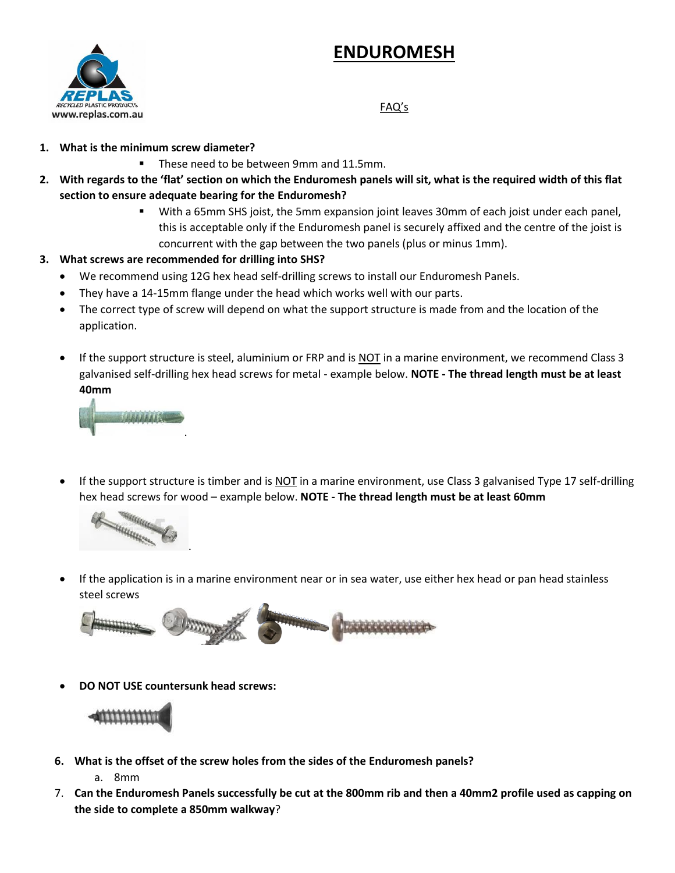## **ENDUROMESH**



## FAQ's

- **1. What is the minimum screw diameter?**
	- These need to be between 9mm and 11.5mm.
- **2. With regards to the 'flat' section on which the Enduromesh panels will sit, what is the required width of this flat section to ensure adequate bearing for the Enduromesh?**
	- With a 65mm SHS joist, the 5mm expansion joint leaves 30mm of each joist under each panel, this is acceptable only if the Enduromesh panel is securely affixed and the centre of the joist is concurrent with the gap between the two panels (plus or minus 1mm).
- **3. What screws are recommended for drilling into SHS?**
	- We recommend using 12G hex head self-drilling screws to install our Enduromesh Panels.
	- They have a 14-15mm flange under the head which works well with our parts.
	- The correct type of screw will depend on what the support structure is made from and the location of the application.
	- If the support structure is steel, aluminium or FRP and is NOT in a marine environment, we recommend Class 3 galvanised self-drilling hex head screws for metal - example below. **NOTE - The thread length must be at least 40mm**



If the support structure is timber and is NOT in a marine environment, use Class 3 galvanised Type 17 self-drilling hex head screws for wood – example below. **NOTE - The thread length must be at least 60mm**



• If the application is in a marine environment near or in sea water, use either hex head or pan head stainless steel screws



• **DO NOT USE countersunk head screws:**

.



**6. What is the offset of the screw holes from the sides of the Enduromesh panels?**

a. 8mm

7. **Can the Enduromesh Panels successfully be cut at the 800mm rib and then a 40mm2 profile used as capping on the side to complete a 850mm walkway**?